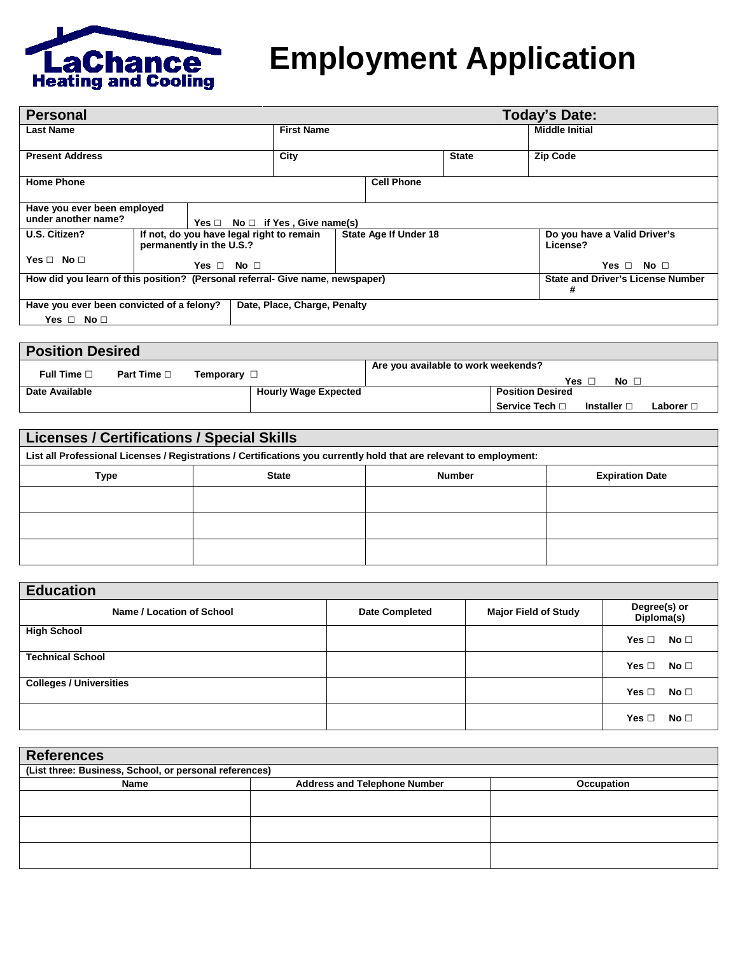

## **Employment Application**

| <b>Personal</b>                                                               |                                                                       |       |                                |                       | <b>Today's Date:</b> |                                               |  |
|-------------------------------------------------------------------------------|-----------------------------------------------------------------------|-------|--------------------------------|-----------------------|----------------------|-----------------------------------------------|--|
| <b>First Name</b><br>Last Name                                                |                                                                       |       |                                |                       |                      | <b>Middle Initial</b>                         |  |
| City<br><b>Present Address</b>                                                |                                                                       |       |                                |                       | <b>State</b>         | <b>Zip Code</b>                               |  |
| <b>Home Phone</b>                                                             |                                                                       |       |                                | <b>Cell Phone</b>     |                      |                                               |  |
| Have you ever been employed<br>under another name?                            |                                                                       | Yes ⊡ | $No \Box$ if Yes, Give name(s) |                       |                      |                                               |  |
| U.S. Citizen?                                                                 | If not, do you have legal right to remain<br>permanently in the U.S.? |       |                                | State Age If Under 18 |                      | Do you have a Valid Driver's<br>License?      |  |
| Yes □ No □<br>Yes $\Box$ No $\Box$                                            |                                                                       |       |                                |                       |                      | Yes $\Box$ No $\Box$                          |  |
| How did you learn of this position? (Personal referral- Give name, newspaper) |                                                                       |       |                                |                       |                      | <b>State and Driver's License Number</b><br># |  |
| Have you ever been convicted of a felony?<br>Date, Place, Charge, Penalty     |                                                                       |       |                                |                       |                      |                                               |  |
| Yes $\Box$ No $\Box$                                                          |                                                                       |       |                                |                       |                      |                                               |  |

| <b>Position Desired</b> |                     |                  |                             |                                     |                         |                  |                  |
|-------------------------|---------------------|------------------|-----------------------------|-------------------------------------|-------------------------|------------------|------------------|
| Full Time $\square$     | Part Time $\square$ | Temporary $\Box$ |                             | Are you available to work weekends? |                         |                  |                  |
|                         |                     |                  |                             |                                     | Yes [                   | No $\Box$        |                  |
| Date Available          |                     |                  | <b>Hourly Wage Expected</b> |                                     | <b>Position Desired</b> |                  |                  |
|                         |                     |                  |                             |                                     | Service Tech □          | Installer $\Box$ | Laborer <b>⊡</b> |

| <b>Licenses / Certifications / Special Skills</b> |              |                                                                                                                     |                        |  |  |
|---------------------------------------------------|--------------|---------------------------------------------------------------------------------------------------------------------|------------------------|--|--|
|                                                   |              | List all Professional Licenses / Registrations / Certifications you currently hold that are relevant to employment: |                        |  |  |
| Type                                              | <b>State</b> | <b>Number</b>                                                                                                       | <b>Expiration Date</b> |  |  |
|                                                   |              |                                                                                                                     |                        |  |  |
|                                                   |              |                                                                                                                     |                        |  |  |
|                                                   |              |                                                                                                                     |                        |  |  |

| <b>Education</b>               |                       |                             |                            |  |  |  |
|--------------------------------|-----------------------|-----------------------------|----------------------------|--|--|--|
| Name / Location of School      | <b>Date Completed</b> | <b>Major Field of Study</b> | Degree(s) or<br>Diploma(s) |  |  |  |
| <b>High School</b>             |                       |                             | Yes $\Box$ No $\Box$       |  |  |  |
| <b>Technical School</b>        |                       |                             | Yes ⊡<br>No $\Box$         |  |  |  |
| <b>Colleges / Universities</b> |                       |                             | No $\Box$<br>Yes $\Box$    |  |  |  |
|                                |                       |                             | No $\Box$<br>Yes $\Box$    |  |  |  |

| <b>References</b>                                      |                                     |            |  |  |  |
|--------------------------------------------------------|-------------------------------------|------------|--|--|--|
| (List three: Business, School, or personal references) |                                     |            |  |  |  |
| Name                                                   | <b>Address and Telephone Number</b> | Occupation |  |  |  |
|                                                        |                                     |            |  |  |  |
|                                                        |                                     |            |  |  |  |
|                                                        |                                     |            |  |  |  |
|                                                        |                                     |            |  |  |  |
|                                                        |                                     |            |  |  |  |
|                                                        |                                     |            |  |  |  |